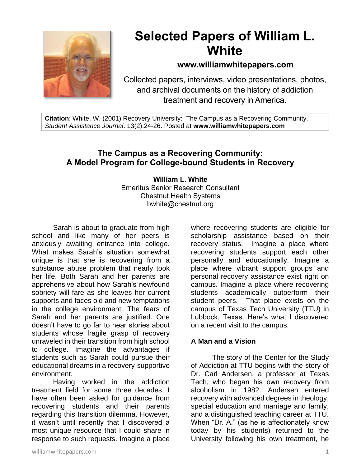

# **Selected Papers of William L. White**

# **www.williamwhitepapers.com**

Collected papers, interviews, video presentations, photos, and archival documents on the history of addiction treatment and recovery in America.

**Citation**: White, W. (2001) Recovery University: The Campus as a Recovering Community. *Student Assistance Journal*. 13(2):24-26. Posted at **www.williamwhitepapers.com**

# **The Campus as a Recovering Community: A Model Program for College-bound Students in Recovery**

#### **William L. White** Emeritus Senior Research Consultant Chestnut Health Systems bwhite@chestnut.org

Sarah is about to graduate from high school and like many of her peers is anxiously awaiting entrance into college. What makes Sarah's situation somewhat unique is that she is recovering from a substance abuse problem that nearly took her life. Both Sarah and her parents are apprehensive about how Sarah's newfound sobriety will fare as she leaves her current supports and faces old and new temptations in the college environment. The fears of Sarah and her parents are justified. One doesn't have to go far to hear stories about students whose fragile grasp of recovery unraveled in their transition from high school to college. Imagine the advantages if students such as Sarah could pursue their educational dreams in a recovery-supportive environment.

Having worked in the addiction treatment field for some three decades, I have often been asked for guidance from recovering students and their parents regarding this transition dilemma. However, it wasn't until recently that I discovered a most unique resource that I could share in response to such requests. Imagine a place

where recovering students are eligible for scholarship assistance based on their recovery status. Imagine a place where recovering students support each other personally and educationally. Imagine a place where vibrant support groups and personal recovery assistance exist right on campus. Imagine a place where recovering students academically outperform their student peers. That place exists on the campus of Texas Tech University (TTU) in Lubbock, Texas. Here's what I discovered on a recent visit to the campus.

#### **A Man and a Vision**

The story of the Center for the Study of Addiction at TTU begins with the story of Dr. Carl Andersen, a professor at Texas Tech, who began his own recovery from alcoholism in 1982. Andersen entered recovery with advanced degrees in theology, special education and marriage and family, and a distinguished teaching career at TTU. When "Dr. A." (as he is affectionately know today by his students) returned to the University following his own treatment, he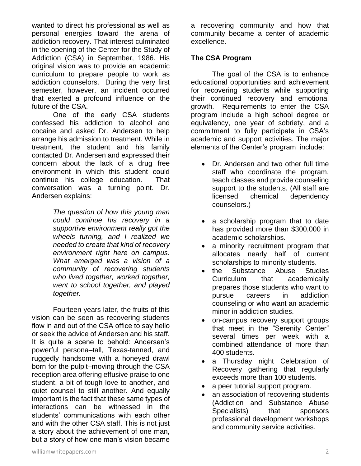wanted to direct his professional as well as personal energies toward the arena of addiction recovery. That interest culminated in the opening of the Center for the Study of Addiction (CSA) in September, 1986. His original vision was to provide an academic curriculum to prepare people to work as addiction counselors. During the very first semester, however, an incident occurred that exerted a profound influence on the future of the CSA.

One of the early CSA students confessed his addiction to alcohol and cocaine and asked Dr. Andersen to help arrange his admission to treatment. While in treatment, the student and his family contacted Dr. Andersen and expressed their concern about the lack of a drug free environment in which this student could continue his college education. That conversation was a turning point. Dr. Andersen explains:

> *The question of how this young man could continue his recovery in a supportive environment really got the wheels turning, and I realized we needed to create that kind of recovery environment right here on campus. What emerged was a vision of a community of recovering students who lived together, worked together, went to school together, and played together.*

Fourteen years later, the fruits of this vision can be seen as recovering students flow in and out of the CSA office to say hello or seek the advice of Andersen and his staff. It is quite a scene to behold: Andersen's powerful persona–tall, Texas-tanned, and ruggedly handsome with a honeyed drawl born for the pulpit–moving through the CSA reception area offering effusive praise to one student, a bit of tough love to another, and quiet counsel to still another. And equally important is the fact that these same types of interactions can be witnessed in the students' communications with each other and with the other CSA staff. This is not just a story about the achievement of one man, but a story of how one man's vision became

a recovering community and how that community became a center of academic excellence.

#### **The CSA Program**

The goal of the CSA is to enhance educational opportunities and achievement for recovering students while supporting their continued recovery and emotional growth. Requirements to enter the CSA program include a high school degree or equivalency, one year of sobriety, and a commitment to fully participate in CSA's academic and support activities. The major elements of the Center's program include:

- Dr. Andersen and two other full time staff who coordinate the program, teach classes and provide counseling support to the students. (All staff are licensed chemical dependency counselors.)
- a scholarship program that to date has provided more than \$300,000 in academic scholarships.
- a minority recruitment program that allocates nearly half of current scholarships to minority students.
- the Substance Abuse Studies Curriculum that academically prepares those students who want to pursue careers in addiction counseling or who want an academic minor in addiction studies.
- on-campus recovery support groups that meet in the "Serenity Center" several times per week with a combined attendance of more than 400 students.
- a Thursday night Celebration of Recovery gathering that regularly exceeds more than 100 students.
- a peer tutorial support program.
- an association of recovering students (Addiction and Substance Abuse Specialists) that sponsors professional development workshops and community service activities.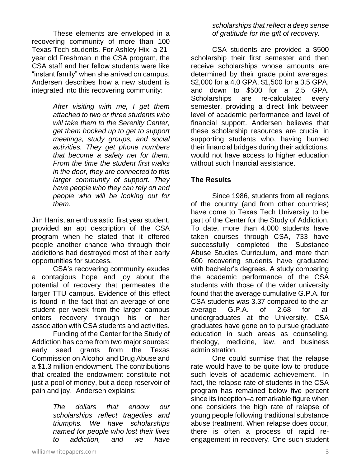These elements are enveloped in a recovering community of more than 100 Texas Tech students. For Ashley Hix, a 21 year old Freshman in the CSA program, the CSA staff and her fellow students were like "instant family" when she arrived on campus. Andersen describes how a new student is integrated into this recovering community:

> *After visiting with me, I get them attached to two or three students who will take them to the Serenity Center, get them hooked up to get to support meetings, study groups, and social activities. They get phone numbers that become a safety net for them. From the time the student first walks in the door, they are connected to this larger community of support. They have people who they can rely on and people who will be looking out for them.*

Jim Harris, an enthusiastic first year student, provided an apt description of the CSA program when he stated that it offered people another chance who through their addictions had destroyed most of their early opportunities for success.

CSA's recovering community exudes a contagious hope and joy about the potential of recovery that permeates the larger TTU campus. Evidence of this effect is found in the fact that an average of one student per week from the larger campus enters recovery through his or her association with CSA students and activities.

Funding of the Center for the Study of Addiction has come from two major sources: early seed grants from the Texas Commission on Alcohol and Drug Abuse and a \$1.3 million endowment. The contributions that created the endowment constitute not just a pool of money, but a deep reservoir of pain and joy. Andersen explains:

> *The dollars that endow our scholarships reflect tragedies and triumphs. We have scholarships named for people who lost their lives to addiction, and we have*

#### *scholarships that reflect a deep sense of gratitude for the gift of recovery.*

CSA students are provided a \$500 scholarship their first semester and then receive scholarships whose amounts are determined by their grade point averages: \$2,000 for a 4.0 GPA, \$1,500 for a 3.5 GPA, and down to \$500 for a 2.5 GPA. Scholarships are re-calculated every semester, providing a direct link between level of academic performance and level of financial support. Andersen believes that these scholarship resources are crucial in supporting students who, having burned their financial bridges during their addictions, would not have access to higher education without such financial assistance.

### **The Results**

Since 1986, students from all regions of the country (and from other countries) have come to Texas Tech University to be part of the Center for the Study of Addiction. To date, more than 4,000 students have taken courses through CSA, 733 have successfully completed the Substance Abuse Studies Curriculum, and more than 600 recovering students have graduated with bachelor's degrees. A study comparing the academic performance of the CSA students with those of the wider university found that the average cumulative G.P.A. for CSA students was 3.37 compared to the an average G.P.A. of 2.68 for all undergraduates at the University. CSA graduates have gone on to pursue graduate education in such areas as counseling, theology, medicine, law, and business administration.

One could surmise that the relapse rate would have to be quite low to produce such levels of academic achievement. In fact, the relapse rate of students in the CSA program has remained below five percent since its inception–a remarkable figure when one considers the high rate of relapse of young people following traditional substance abuse treatment. When relapse does occur, there is often a process of rapid reengagement in recovery. One such student